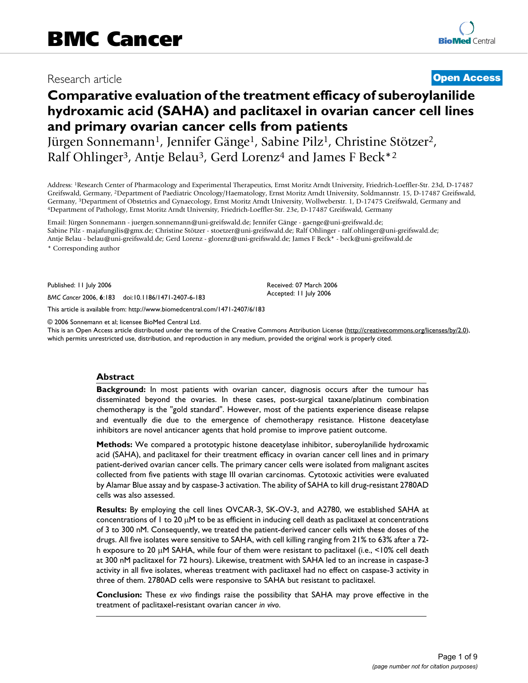# Research article **[Open Access](http://www.biomedcentral.com/info/about/charter/)**

# **Comparative evaluation of the treatment efficacy of suberoylanilide hydroxamic acid (SAHA) and paclitaxel in ovarian cancer cell lines and primary ovarian cancer cells from patients**

Jürgen Sonnemann<sup>1</sup>, Jennifer Gänge<sup>1</sup>, Sabine Pilz<sup>1</sup>, Christine Stötzer<sup>2</sup>, Ralf Ohlinger<sup>3</sup>, Antje Belau<sup>3</sup>, Gerd Lorenz<sup>4</sup> and James F Beck<sup>\*2</sup>

Address: 1Research Center of Pharmacology and Experimental Therapeutics, Ernst Moritz Arndt University, Friedrich-Loeffler-Str. 23d, D-17487 Greifswald, Germany, 2Department of Paediatric Oncology/Haematology, Ernst Moritz Arndt University, Soldmannstr. 15, D-17487 Greifswald, Germany, <sup>3</sup>Department of Obstetrics and Gynaecology, Ernst Moritz Arndt University, Wollweberstr. 1, D-17475 Greifswald, Germany and 4Department of Pathology, Ernst Moritz Arndt University, Friedrich-Loeffler-Str. 23e, D-

Email: Jürgen Sonnemann - juergen.sonnemann@uni-greifswald.de; Jennifer Gänge - gaenge@uni-greifswald.de; Sabine Pilz - majafungilis@gmx.de; Christine Stötzer - stoetzer@uni-greifswald.de; Ralf Ohlinger - ralf.ohlinger@uni-greifswald.de; Antje Belau - belau@uni-greifswald.de; Gerd Lorenz - glorenz@uni-greifswald.de; James F Beck\* - beck@uni-greifswald.de

\* Corresponding author

Published: 11 July 2006

*BMC Cancer* 2006, **6**:183 doi:10.1186/1471-2407-6-183

[This article is available from: http://www.biomedcentral.com/1471-2407/6/183](http://www.biomedcentral.com/1471-2407/6/183)

© 2006 Sonnemann et al; licensee BioMed Central Ltd.

This is an Open Access article distributed under the terms of the Creative Commons Attribution License [\(http://creativecommons.org/licenses/by/2.0\)](http://creativecommons.org/licenses/by/2.0), which permits unrestricted use, distribution, and reproduction in any medium, provided the original work is properly cited.

Received: 07 March 2006 Accepted: 11 July 2006

#### **Abstract**

**Background:** In most patients with ovarian cancer, diagnosis occurs after the tumour has disseminated beyond the ovaries. In these cases, post-surgical taxane/platinum combination chemotherapy is the "gold standard". However, most of the patients experience disease relapse and eventually die due to the emergence of chemotherapy resistance. Histone deacetylase inhibitors are novel anticancer agents that hold promise to improve patient outcome.

**Methods:** We compared a prototypic histone deacetylase inhibitor, suberoylanilide hydroxamic acid (SAHA), and paclitaxel for their treatment efficacy in ovarian cancer cell lines and in primary patient-derived ovarian cancer cells. The primary cancer cells were isolated from malignant ascites collected from five patients with stage III ovarian carcinomas. Cytotoxic activities were evaluated by Alamar Blue assay and by caspase-3 activation. The ability of SAHA to kill drug-resistant 2780AD cells was also assessed.

**Results:** By employing the cell lines OVCAR-3, SK-OV-3, and A2780, we established SAHA at concentrations of 1 to 20 µM to be as efficient in inducing cell death as paclitaxel at concentrations of 3 to 300 nM. Consequently, we treated the patient-derived cancer cells with these doses of the drugs. All five isolates were sensitive to SAHA, with cell killing ranging from 21% to 63% after a 72 h exposure to 20 µM SAHA, while four of them were resistant to paclitaxel (i.e., <10% cell death at 300 nM paclitaxel for 72 hours). Likewise, treatment with SAHA led to an increase in caspase-3 activity in all five isolates, whereas treatment with paclitaxel had no effect on caspase-3 activity in three of them. 2780AD cells were responsive to SAHA but resistant to paclitaxel.

**Conclusion:** These *ex vivo* findings raise the possibility that SAHA may prove effective in the treatment of paclitaxel-resistant ovarian cancer *in vivo*.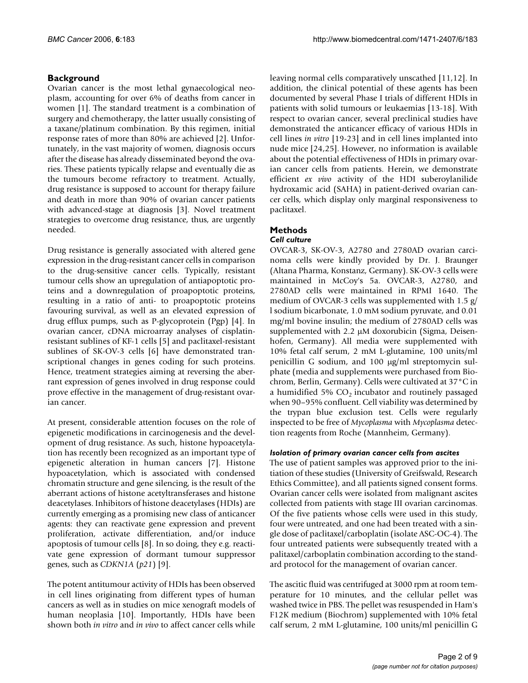# **Background**

Ovarian cancer is the most lethal gynaecological neoplasm, accounting for over 6% of deaths from cancer in women [1]. The standard treatment is a combination of surgery and chemotherapy, the latter usually consisting of a taxane/platinum combination. By this regimen, initial response rates of more than 80% are achieved [2]. Unfortunately, in the vast majority of women, diagnosis occurs after the disease has already disseminated beyond the ovaries. These patients typically relapse and eventually die as the tumours become refractory to treatment. Actually, drug resistance is supposed to account for therapy failure and death in more than 90% of ovarian cancer patients with advanced-stage at diagnosis [3]. Novel treatment strategies to overcome drug resistance, thus, are urgently needed.

Drug resistance is generally associated with altered gene expression in the drug-resistant cancer cells in comparison to the drug-sensitive cancer cells. Typically, resistant tumour cells show an upregulation of antiapoptotic proteins and a downregulation of proapoptotic proteins, resulting in a ratio of anti- to proapoptotic proteins favouring survival, as well as an elevated expression of drug efflux pumps, such as P-glycoprotein (Pgp) [4]. In ovarian cancer, cDNA microarray analyses of cisplatinresistant sublines of KF-1 cells [5] and paclitaxel-resistant sublines of SK-OV-3 cells [6] have demonstrated transcriptional changes in genes coding for such proteins. Hence, treatment strategies aiming at reversing the aberrant expression of genes involved in drug response could prove effective in the management of drug-resistant ovarian cancer.

At present, considerable attention focuses on the role of epigenetic modifications in carcinogenesis and the development of drug resistance. As such, histone hypoacetylation has recently been recognized as an important type of epigenetic alteration in human cancers [7]. Histone hypoacetylation, which is associated with condensed chromatin structure and gene silencing, is the result of the aberrant actions of histone acetyltransferases and histone deacetylases. Inhibitors of histone deacetylases (HDIs) are currently emerging as a promising new class of anticancer agents: they can reactivate gene expression and prevent proliferation, activate differentiation, and/or induce apoptosis of tumour cells [8]. In so doing, they e.g. reactivate gene expression of dormant tumour suppressor genes, such as *CDKN1A* (*p21*) [9].

The potent antitumour activity of HDIs has been observed in cell lines originating from different types of human cancers as well as in studies on mice xenograft models of human neoplasia [10]. Importantly, HDIs have been shown both *in vitro* and *in vivo* to affect cancer cells while leaving normal cells comparatively unscathed [11,12]. In addition, the clinical potential of these agents has been documented by several Phase I trials of different HDIs in patients with solid tumours or leukaemias [13-18]. With respect to ovarian cancer, several preclinical studies have demonstrated the anticancer efficacy of various HDIs in cell lines *in vitro* [19-23] and in cell lines implanted into nude mice [24,25]. However, no information is available about the potential effectiveness of HDIs in primary ovarian cancer cells from patients. Herein, we demonstrate efficient *ex vivo* activity of the HDI suberoylanilide hydroxamic acid (SAHA) in patient-derived ovarian cancer cells, which display only marginal responsiveness to paclitaxel.

# **Methods**

# *Cell culture*

OVCAR-3, SK-OV-3, A2780 and 2780AD ovarian carcinoma cells were kindly provided by Dr. J. Braunger (Altana Pharma, Konstanz, Germany). SK-OV-3 cells were maintained in McCoy's 5a. OVCAR-3, A2780, and 2780AD cells were maintained in RPMI 1640. The medium of OVCAR-3 cells was supplemented with 1.5 g/ l sodium bicarbonate, 1.0 mM sodium pyruvate, and 0.01 mg/ml bovine insulin; the medium of 2780AD cells was supplemented with 2.2 µM doxorubicin (Sigma, Deisenhofen, Germany). All media were supplemented with 10% fetal calf serum, 2 mM L-glutamine, 100 units/ml penicillin G sodium, and 100 µg/ml streptomycin sulphate (media and supplements were purchased from Biochrom, Berlin, Germany). Cells were cultivated at 37°C in a humidified 5%  $CO<sub>2</sub>$  incubator and routinely passaged when 90–95% confluent. Cell viability was determined by the trypan blue exclusion test. Cells were regularly inspected to be free of *Mycoplasma* with *Mycoplasma* detection reagents from Roche (Mannheim, Germany).

#### *Isolation of primary ovarian cancer cells from ascites*

The use of patient samples was approved prior to the initiation of these studies (University of Greifswald, Research Ethics Committee), and all patients signed consent forms. Ovarian cancer cells were isolated from malignant ascites collected from patients with stage III ovarian carcinomas. Of the five patients whose cells were used in this study, four were untreated, and one had been treated with a single dose of paclitaxel/carboplatin (isolate ASC-OC-4). The four untreated patients were subsequently treated with a palitaxel/carboplatin combination according to the standard protocol for the management of ovarian cancer.

The ascitic fluid was centrifuged at 3000 rpm at room temperature for 10 minutes, and the cellular pellet was washed twice in PBS. The pellet was resuspended in Ham's F12K medium (Biochrom) supplemented with 10% fetal calf serum, 2 mM L-glutamine, 100 units/ml penicillin G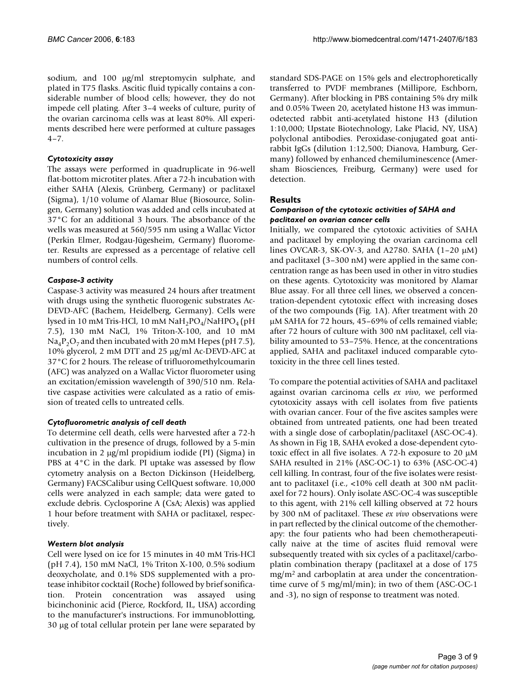sodium, and 100 µg/ml streptomycin sulphate, and plated in T75 flasks. Ascitic fluid typically contains a considerable number of blood cells; however, they do not impede cell plating. After 3–4 weeks of culture, purity of the ovarian carcinoma cells was at least 80%. All experiments described here were performed at culture passages 4–7.

### *Cytotoxicity assay*

The assays were performed in quadruplicate in 96-well flat-bottom microtiter plates. After a 72-h incubation with either SAHA (Alexis, Grünberg, Germany) or paclitaxel (Sigma), 1/10 volume of Alamar Blue (Biosource, Solingen, Germany) solution was added and cells incubated at 37°C for an additional 3 hours. The absorbance of the wells was measured at 560/595 nm using a Wallac Victor (Perkin Elmer, Rodgau-Jügesheim, Germany) fluorometer. Results are expressed as a percentage of relative cell numbers of control cells.

# *Caspase-3 activity*

Caspase-3 activity was measured 24 hours after treatment with drugs using the synthetic fluorogenic substrates Ac-DEVD-AFC (Bachem, Heidelberg, Germany). Cells were lysed in 10 mM Tris-HCl, 10 mM  $\text{NaH}_2\text{PO}_4/\text{NaHPO}_4$  (pH 7.5), 130 mM NaCl, 1% Triton-X-100, and 10 mM  $Na<sub>4</sub>P<sub>2</sub>O<sub>7</sub>$  and then incubated with 20 mM Hepes (pH 7.5), 10% glycerol, 2 mM DTT and 25 µg/ml Ac-DEVD-AFC at 37°C for 2 hours. The release of trifluoromethylcoumarin (AFC) was analyzed on a Wallac Victor fluorometer using an excitation/emission wavelength of 390/510 nm. Relative caspase activities were calculated as a ratio of emission of treated cells to untreated cells.

# *Cytofluorometric analysis of cell death*

To determine cell death, cells were harvested after a 72-h cultivation in the presence of drugs, followed by a 5-min incubation in 2 µg/ml propidium iodide (PI) (Sigma) in PBS at 4°C in the dark. PI uptake was assessed by flow cytometry analysis on a Becton Dickinson (Heidelberg, Germany) FACSCalibur using CellQuest software. 10,000 cells were analyzed in each sample; data were gated to exclude debris. Cyclosporine A (CsA; Alexis) was applied 1 hour before treatment with SAHA or paclitaxel, respectively.

# *Western blot analysis*

Cell were lysed on ice for 15 minutes in 40 mM Tris-HCl (pH 7.4), 150 mM NaCl, 1% Triton X-100, 0.5% sodium deoxycholate, and 0.1% SDS supplemented with a protease inhibitor cocktail (Roche) followed by brief sonification. Protein concentration was assayed using bicinchoninic acid (Pierce, Rockford, IL, USA) according to the manufacturer's instructions. For immunoblotting, 30 µg of total cellular protein per lane were separated by standard SDS-PAGE on 15% gels and electrophoretically transferred to PVDF membranes (Millipore, Eschborn, Germany). After blocking in PBS containing 5% dry milk and 0.05% Tween 20, acetylated histone H3 was immunodetected rabbit anti-acetylated histone H3 (dilution 1:10,000; Upstate Biotechnology, Lake Placid, NY, USA) polyclonal antibodies. Peroxidase-conjugated goat antirabbit IgGs (dilution 1:12,500; Dianova, Hamburg, Germany) followed by enhanced chemiluminescence (Amersham Biosciences, Freiburg, Germany) were used for detection.

# **Results**

#### *Comparison of the cytotoxic activities of SAHA and paclitaxel on ovarian cancer cells*

Initially, we compared the cytotoxic activities of SAHA and paclitaxel by employing the ovarian carcinoma cell lines OVCAR-3, SK-OV-3, and A2780. SAHA (1–20 µM) and paclitaxel (3–300 nM) were applied in the same concentration range as has been used in other in vitro studies on these agents. Cytotoxicity was monitored by Alamar Blue assay. For all three cell lines, we observed a concentration-dependent cytotoxic effect with increasing doses of the two compounds (Fig. 1A). After treatment with 20 µM SAHA for 72 hours, 45–69% of cells remained viable; after 72 hours of culture with 300 nM paclitaxel, cell viability amounted to 53–75%. Hence, at the concentrations applied, SAHA and paclitaxel induced comparable cytotoxicity in the three cell lines tested.

To compare the potential activities of SAHA and paclitaxel against ovarian carcinoma cells *ex vivo*, we performed cytotoxicity assays with cell isolates from five patients with ovarian cancer. Four of the five ascites samples were obtained from untreated patients, one had been treated with a single dose of carboplatin/paclitaxel (ASC-OC-4). As shown in Fig 1B, SAHA evoked a dose-dependent cytotoxic effect in all five isolates. A 72-h exposure to 20  $\mu$ M SAHA resulted in 21% (ASC-OC-1) to 63% (ASC-OC-4) cell killing. In contrast, four of the five isolates were resistant to paclitaxel (i.e., <10% cell death at 300 nM paclitaxel for 72 hours). Only isolate ASC-OC-4 was susceptible to this agent, with 21% cell killing observed at 72 hours by 300 nM of paclitaxel. These *ex vivo* observations were in part reflected by the clinical outcome of the chemotherapy: the four patients who had been chemotherapeutically naive at the time of ascites fluid removal were subsequently treated with six cycles of a paclitaxel/carboplatin combination therapy (paclitaxel at a dose of 175 mg/m2 and carboplatin at area under the concentrationtime curve of 5 mg/ml/min); in two of them (ASC-OC-1 and -3), no sign of response to treatment was noted.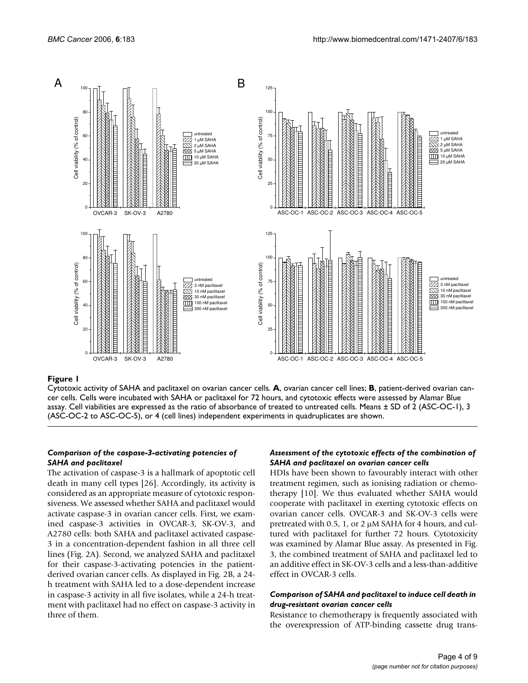

Cytotoxic activity of SAHA and paclitaxel on ovarian cancer cells. **A**, ovarian cancer cell lines; **B**, patient-derived ovarian cancer cells. Cells were incubated with SAHA or paclitaxel for 72 hours, and cytotoxic effects were assessed by Alamar Blue assay. Cell viabilities are expressed as the ratio of absorbance of treated to untreated cells. Means ± SD of 2 (ASC-OC-1), 3 (ASC-OC-2 to ASC-OC-5), or 4 (cell lines) independent experiments in quadruplicates are shown.

# *Comparison of the caspase-3-activating potencies of SAHA and paclitaxel*

The activation of caspase-3 is a hallmark of apoptotic cell death in many cell types [26]. Accordingly, its activity is considered as an appropriate measure of cytotoxic responsiveness. We assessed whether SAHA and paclitaxel would activate caspase-3 in ovarian cancer cells. First, we examined caspase-3 activities in OVCAR-3, SK-OV-3, and A2780 cells: both SAHA and paclitaxel activated caspase-3 in a concentration-dependent fashion in all three cell lines (Fig. 2A). Second, we analyzed SAHA and paclitaxel for their caspase-3-activating potencies in the patientderived ovarian cancer cells. As displayed in Fig. 2B, a 24 h treatment with SAHA led to a dose-dependent increase in caspase-3 activity in all five isolates, while a 24-h treatment with paclitaxel had no effect on caspase-3 activity in three of them.

# *Assessment of the cytotoxic effects of the combination of SAHA and paclitaxel on ovarian cancer cells*

HDIs have been shown to favourably interact with other treatment regimen, such as ionising radiation or chemotherapy [10]. We thus evaluated whether SAHA would cooperate with paclitaxel in exerting cytotoxic effects on ovarian cancer cells. OVCAR-3 and SK-OV-3 cells were pretreated with 0.5, 1, or 2  $\mu$ M SAHA for 4 hours, and cultured with paclitaxel for further 72 hours. Cytotoxicity was examined by Alamar Blue assay. As presented in Fig. 3, the combined treatment of SAHA and paclitaxel led to an additive effect in SK-OV-3 cells and a less-than-additive effect in OVCAR-3 cells.

#### *Comparison of SAHA and paclitaxel to induce cell death in drug-resistant ovarian cancer cells*

Resistance to chemotherapy is frequently associated with the overexpression of ATP-binding cassette drug trans-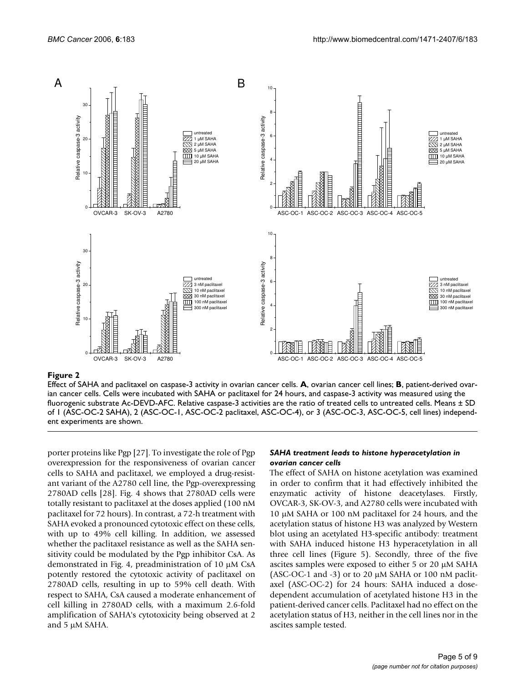

Effect of SAHA and paclitaxel on caspase-3 activity in ovarian cancer cells. **A**, ovarian cancer cell lines; **B**, patient-derived ovarian cancer cells. Cells were incubated with SAHA or paclitaxel for 24 hours, and caspase-3 activity was measured using the fluorogenic substrate Ac-DEVD-AFC. Relative caspase-3 activities are the ratio of treated cells to untreated cells. Means  $\pm$  SD of 1 (ASC-OC-2 SAHA), 2 (ASC-OC-1, ASC-OC-2 paclitaxel, ASC-OC-4), or 3 (ASC-OC-3, ASC-OC-5, cell lines) independent experiments are shown.

porter proteins like Pgp [27]. To investigate the role of Pgp overexpression for the responsiveness of ovarian cancer cells to SAHA and paclitaxel, we employed a drug-resistant variant of the A2780 cell line, the Pgp-overexpressing 2780AD cells [28]. Fig. 4 shows that 2780AD cells were totally resistant to paclitaxel at the doses applied (100 nM paclitaxel for 72 hours). In contrast, a 72-h treatment with SAHA evoked a pronounced cytotoxic effect on these cells, with up to 49% cell killing. In addition, we assessed whether the paclitaxel resistance as well as the SAHA sensitivity could be modulated by the Pgp inhibitor CsA. As demonstrated in Fig. 4, preadministration of 10 µM CsA potently restored the cytotoxic activity of paclitaxel on 2780AD cells, resulting in up to 59% cell death. With respect to SAHA, CsA caused a moderate enhancement of cell killing in 2780AD cells, with a maximum 2.6-fold amplification of SAHA's cytotoxicity being observed at 2 and 5 µM SAHA.

#### *SAHA treatment leads to histone hyperacetylation in ovarian cancer cells*

The effect of SAHA on histone acetylation was examined in order to confirm that it had effectively inhibited the enzymatic activity of histone deacetylases. Firstly, OVCAR-3, SK-OV-3, and A2780 cells were incubated with 10 µM SAHA or 100 nM paclitaxel for 24 hours, and the acetylation status of histone H3 was analyzed by Western blot using an acetylated H3-specific antibody: treatment with SAHA induced histone H3 hyperacetylation in all three cell lines (Figure 5). Secondly, three of the five ascites samples were exposed to either 5 or 20 µM SAHA (ASC-OC-1 and -3) or to 20 µM SAHA or 100 nM paclitaxel (ASC-OC-2) for 24 hours: SAHA induced a dosedependent accumulation of acetylated histone H3 in the patient-derived cancer cells. Paclitaxel had no effect on the acetylation status of H3, neither in the cell lines nor in the ascites sample tested.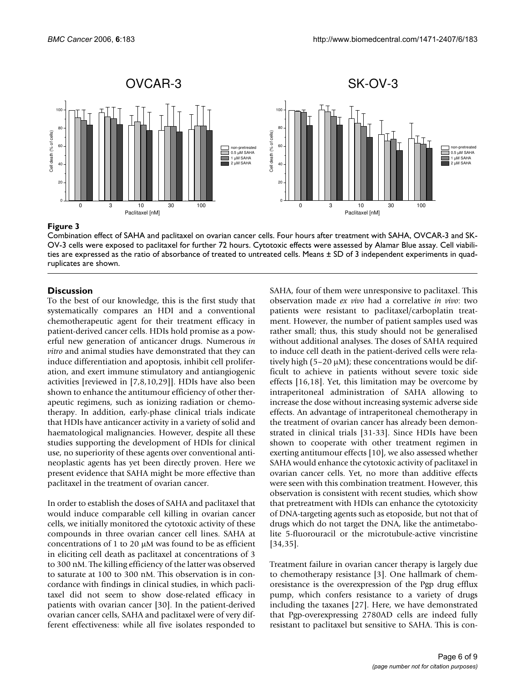

Combination effect of SAHA and paclitaxel on ovarian cancer cells. Four hours after treatment with SAHA, OVCAR-3 and SK-OV-3 cells were exposed to paclitaxel for further 72 hours. Cytotoxic effects were assessed by Alamar Blue assay. Cell viabilities are expressed as the ratio of absorbance of treated to untreated cells. Means ± SD of 3 independent experiments in quadruplicates are shown.

# **Discussion**

To the best of our knowledge, this is the first study that systematically compares an HDI and a conventional chemotherapeutic agent for their treatment efficacy in patient-derived cancer cells. HDIs hold promise as a powerful new generation of anticancer drugs. Numerous *in vitro* and animal studies have demonstrated that they can induce differentiation and apoptosis, inhibit cell proliferation, and exert immune stimulatory and antiangiogenic activities [reviewed in [7,8,10,29]]. HDIs have also been shown to enhance the antitumour efficiency of other therapeutic regimens, such as ionizing radiation or chemotherapy. In addition, early-phase clinical trials indicate that HDIs have anticancer activity in a variety of solid and haematological malignancies. However, despite all these studies supporting the development of HDIs for clinical use, no superiority of these agents over conventional antineoplastic agents has yet been directly proven. Here we present evidence that SAHA might be more effective than paclitaxel in the treatment of ovarian cancer.

In order to establish the doses of SAHA and paclitaxel that would induce comparable cell killing in ovarian cancer cells, we initially monitored the cytotoxic activity of these compounds in three ovarian cancer cell lines. SAHA at concentrations of 1 to 20  $\mu$ M was found to be as efficient in eliciting cell death as paclitaxel at concentrations of 3 to 300 nM. The killing efficiency of the latter was observed to saturate at 100 to 300 nM. This observation is in concordance with findings in clinical studies, in which paclitaxel did not seem to show dose-related efficacy in patients with ovarian cancer [30]. In the patient-derived ovarian cancer cells, SAHA and paclitaxel were of very different effectiveness: while all five isolates responded to

SAHA, four of them were unresponsive to paclitaxel. This observation made *ex vivo* had a correlative *in vivo*: two patients were resistant to paclitaxel/carboplatin treatment. However, the number of patient samples used was rather small; thus, this study should not be generalised without additional analyses. The doses of SAHA required to induce cell death in the patient-derived cells were relatively high (5–20 µM); these concentrations would be difficult to achieve in patients without severe toxic side effects [16,18]. Yet, this limitation may be overcome by intraperitoneal administration of SAHA allowing to increase the dose without increasing systemic adverse side effects. An advantage of intraperitoneal chemotherapy in the treatment of ovarian cancer has already been demonstrated in clinical trials [31-33]. Since HDIs have been shown to cooperate with other treatment regimen in exerting antitumour effects [10], we also assessed whether SAHA would enhance the cytotoxic activity of paclitaxel in ovarian cancer cells. Yet, no more than additive effects were seen with this combination treatment. However, this observation is consistent with recent studies, which show that pretreatment with HDIs can enhance the cytotoxicity of DNA-targeting agents such as etoposide, but not that of drugs which do not target the DNA, like the antimetabolite 5-fluorouracil or the microtubule-active vincristine [34,35].

Treatment failure in ovarian cancer therapy is largely due to chemotherapy resistance [3]. One hallmark of chemoresistance is the overexpression of the Pgp drug efflux pump, which confers resistance to a variety of drugs including the taxanes [27]. Here, we have demonstrated that Pgp-overexpressing 2780AD cells are indeed fully resistant to paclitaxel but sensitive to SAHA. This is con-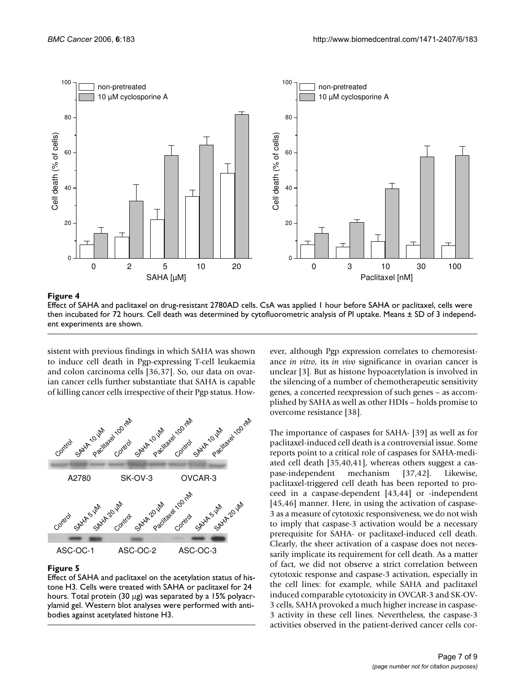

Effect of SAHA and paclitaxel on drug-resistant 2780AD cells. CsA was applied 1 hour before SAHA or paclitaxel, cells were then incubated for 72 hours. Cell death was determined by cytofluorometric analysis of PI uptake. Means ± SD of 3 independent experiments are shown.

sistent with previous findings in which SAHA was shown to induce cell death in Pgp-expressing T-cell leukaemia and colon carcinoma cells [36,37]. So, our data on ovarian cancer cells further substantiate that SAHA is capable of killing cancer cells irrespective of their Pgp status. How-



# **Figure 5**

Effect of SAHA and paclitaxel on the acetylation status of histone H3. Cells were treated with SAHA or paclitaxel for 24 hours. Total protein (30 µg) was separated by a 15% polyacrylamid gel. Western blot analyses were performed with antibodies against acetylated histone H3.

ever, although Pgp expression correlates to chemoresistance *in vitro*, its *in vivo* significance in ovarian cancer is unclear [3]. But as histone hypoacetylation is involved in the silencing of a number of chemotherapeutic sensitivity genes, a concerted reexpression of such genes – as accomplished by SAHA as well as other HDIs – holds promise to overcome resistance [38].

The importance of caspases for SAHA- [39] as well as for paclitaxel-induced cell death is a controversial issue. Some reports point to a critical role of caspases for SAHA-mediated cell death [35,40,41], whereas others suggest a caspase-independent mechanism [37,42]. Likewise, paclitaxel-triggered cell death has been reported to proceed in a caspase-dependent [43,44] or -independent [45,46] manner. Here, in using the activation of caspase-3 as a measure of cytotoxic responsiveness, we do not wish to imply that caspase-3 activation would be a necessary prerequisite for SAHA- or paclitaxel-induced cell death. Clearly, the sheer activation of a caspase does not necessarily implicate its requirement for cell death. As a matter of fact, we did not observe a strict correlation between cytotoxic response and caspase-3 activation, especially in the cell lines: for example, while SAHA and paclitaxel induced comparable cytotoxicity in OVCAR-3 and SK-OV-3 cells, SAHA provoked a much higher increase in caspase-3 activity in these cell lines. Nevertheless, the caspase-3 activities observed in the patient-derived cancer cells cor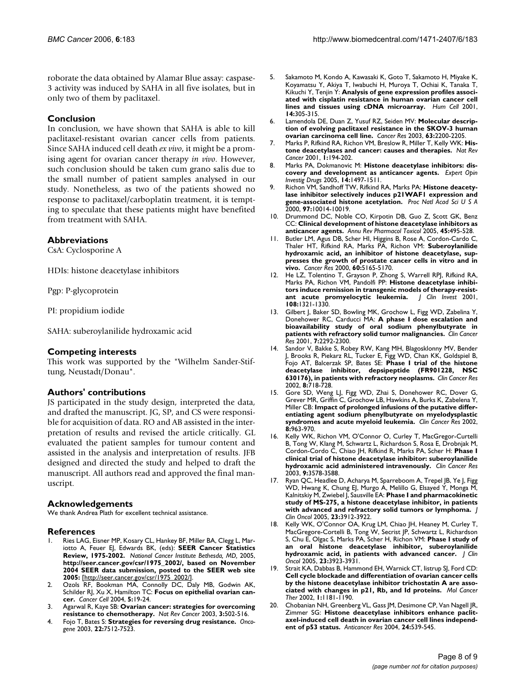roborate the data obtained by Alamar Blue assay: caspase-3 activity was induced by SAHA in all five isolates, but in only two of them by paclitaxel.

# **Conclusion**

In conclusion, we have shown that SAHA is able to kill paclitaxel-resistant ovarian cancer cells from patients. Since SAHA induced cell death *ex vivo*, it might be a promising agent for ovarian cancer therapy *in vivo*. However, such conclusion should be taken cum grano salis due to the small number of patient samples analysed in our study. Nonetheless, as two of the patients showed no response to paclitaxel/carboplatin treatment, it is tempting to speculate that these patients might have benefited from treatment with SAHA.

# **Abbreviations**

CsA: Cyclosporine A

HDIs: histone deacetylase inhibitors

Pgp: P-glycoprotein

PI: propidium iodide

SAHA: suberoylanilide hydroxamic acid

# **Competing interests**

This work was supported by the "Wilhelm Sander-Stiftung, Neustadt/Donau".

# **Authors' contributions**

JS participated in the study design, interpreted the data, and drafted the manuscript. JG, SP, and CS were responsible for acquisition of data. RO and AB assisted in the interpretation of results and revised the article critically. GL evaluated the patient samples for tumour content and assisted in the analysis and interpretation of results. JFB designed and directed the study and helped to draft the manuscript. All authors read and approved the final manuscript.

# **Acknowledgements**

We thank Andrea Plath for excellent technical assistance.

#### **References**

- Ries LAG, Eisner MP, Kosary CL, Hankey BF, Miller BA, Clegg L, Mariotto A, Feuer EJ, Edwards BK, (eds): **SEER Cancer Statistics Review, 1975-2002.** *National Cancer Institute Bethesda, MD,* 2005, **http://seer.cancer.gov/csr/1975\_2002/, based on November 2004 SEER data submission, posted to the SEER web site 2005:** [[http://seer.cancer.gov/csr/1975\\_2002/](http://seer.cancer.gov/csr/1975_2002/)].
- Ozols RF, Bookman MA, Connolly DC, Daly MB, Godwin AK, Schilder RJ, Xu X, Hamilton TC: **[Focus on epithelial ovarian can](http://www.ncbi.nlm.nih.gov/entrez/query.fcgi?cmd=Retrieve&db=PubMed&dopt=Abstract&list_uids=14749123)[cer.](http://www.ncbi.nlm.nih.gov/entrez/query.fcgi?cmd=Retrieve&db=PubMed&dopt=Abstract&list_uids=14749123)** *Cancer Cell* 2004, **5:**19-24.
- 3. Agarwal R, Kaye SB: **[Ovarian cancer: strategies for overcoming](http://www.ncbi.nlm.nih.gov/entrez/query.fcgi?cmd=Retrieve&db=PubMed&dopt=Abstract&list_uids=12835670) [resistance to chemotherapy.](http://www.ncbi.nlm.nih.gov/entrez/query.fcgi?cmd=Retrieve&db=PubMed&dopt=Abstract&list_uids=12835670)** *Nat Rev Cancer* 2003, **3:**502-516.
- 4. Fojo T, Bates S: **[Strategies for reversing drug resistance.](http://www.ncbi.nlm.nih.gov/entrez/query.fcgi?cmd=Retrieve&db=PubMed&dopt=Abstract&list_uids=14576855)** *Oncogene* 2003, **22:**7512-7523.
- 5. Sakamoto M, Kondo A, Kawasaki K, Goto T, Sakamoto H, Miyake K, Koyamatsu Y, Akiya T, Iwabuchi H, Muroya T, Ochiai K, Tanaka T, Kikuchi Y, Tenjin Y: **[Analysis of gene expression profiles associ](http://www.ncbi.nlm.nih.gov/entrez/query.fcgi?cmd=Retrieve&db=PubMed&dopt=Abstract&list_uids=11925933)[ated with cisplatin resistance in human ovarian cancer cell](http://www.ncbi.nlm.nih.gov/entrez/query.fcgi?cmd=Retrieve&db=PubMed&dopt=Abstract&list_uids=11925933) [lines and tissues using cDNA microarray.](http://www.ncbi.nlm.nih.gov/entrez/query.fcgi?cmd=Retrieve&db=PubMed&dopt=Abstract&list_uids=11925933)** *Hum Cell* 2001, **14:**305-315.
- 6. Lamendola DE, Duan Z, Yusuf RZ, Seiden MV: **[Molecular descrip](http://www.ncbi.nlm.nih.gov/entrez/query.fcgi?cmd=Retrieve&db=PubMed&dopt=Abstract&list_uids=12727840)[tion of evolving paclitaxel resistance in the SKOV-3 human](http://www.ncbi.nlm.nih.gov/entrez/query.fcgi?cmd=Retrieve&db=PubMed&dopt=Abstract&list_uids=12727840) [ovarian carcinoma cell line.](http://www.ncbi.nlm.nih.gov/entrez/query.fcgi?cmd=Retrieve&db=PubMed&dopt=Abstract&list_uids=12727840)** *Cancer Res* 2003, **63:**2200-2205.
- 7. Marks P, Rifkind RA, Richon VM, Breslow R, Miller T, Kelly WK: **[His](http://www.ncbi.nlm.nih.gov/entrez/query.fcgi?cmd=Retrieve&db=PubMed&dopt=Abstract&list_uids=11902574)[tone deacetylases and cancer: causes and therapies.](http://www.ncbi.nlm.nih.gov/entrez/query.fcgi?cmd=Retrieve&db=PubMed&dopt=Abstract&list_uids=11902574)** *Nat Rev Cancer* 2001, **1:**194-202.
- 8. Marks PA, Dokmanovic M: **[Histone deacetylase inhibitors: dis](http://www.ncbi.nlm.nih.gov/entrez/query.fcgi?cmd=Retrieve&db=PubMed&dopt=Abstract&list_uids=16307490)[covery and development as anticancer agents.](http://www.ncbi.nlm.nih.gov/entrez/query.fcgi?cmd=Retrieve&db=PubMed&dopt=Abstract&list_uids=16307490)** *Expert Opin Investig Drugs* 2005, **14:**1497-1511.
- 9. Richon VM, Sandhoff TW, Rifkind RA, Marks PA: **[Histone deacety](http://www.ncbi.nlm.nih.gov/entrez/query.fcgi?cmd=Retrieve&db=PubMed&dopt=Abstract&list_uids=10954755)[lase inhibitor selectively induces p21WAF1 expression and](http://www.ncbi.nlm.nih.gov/entrez/query.fcgi?cmd=Retrieve&db=PubMed&dopt=Abstract&list_uids=10954755) [gene-associated histone acetylation.](http://www.ncbi.nlm.nih.gov/entrez/query.fcgi?cmd=Retrieve&db=PubMed&dopt=Abstract&list_uids=10954755)** *Proc Natl Acad Sci U S A* 2000, **97:**10014-10019.
- 10. Drummond DC, Noble CO, Kirpotin DB, Guo Z, Scott GK, Benz CC: **[Clinical development of histone deacetylase inhibitors as](http://www.ncbi.nlm.nih.gov/entrez/query.fcgi?cmd=Retrieve&db=PubMed&dopt=Abstract&list_uids=15822187) [anticancer agents.](http://www.ncbi.nlm.nih.gov/entrez/query.fcgi?cmd=Retrieve&db=PubMed&dopt=Abstract&list_uids=15822187)** *Annu Rev Pharmacol Toxicol* 2005, **45:**495-528.
- 11. Butler LM, Agus DB, Scher HI, Higgins B, Rose A, Cordon-Cardo C, Thaler HT, Rifkind RA, Marks PA, Richon VM: **[Suberoylanilide](http://www.ncbi.nlm.nih.gov/entrez/query.fcgi?cmd=Retrieve&db=PubMed&dopt=Abstract&list_uids=11016644) hydroxamic acid, an inhibitor of histone deacetylase, sup[presses the growth of prostate cancer cells in vitro and in](http://www.ncbi.nlm.nih.gov/entrez/query.fcgi?cmd=Retrieve&db=PubMed&dopt=Abstract&list_uids=11016644) [vivo.](http://www.ncbi.nlm.nih.gov/entrez/query.fcgi?cmd=Retrieve&db=PubMed&dopt=Abstract&list_uids=11016644)** *Cancer Res* 2000, **60:**5165-5170.
- 12. He LZ, Tolentino T, Grayson P, Zhong S, Warrell RPJ, Rifkind RA, Marks PA, Richon VM, Pandolfi PP: **[Histone deacetylase inhibi](http://www.ncbi.nlm.nih.gov/entrez/query.fcgi?cmd=Retrieve&db=PubMed&dopt=Abstract&list_uids=11696577)[tors induce remission in transgenic models of therapy-resist](http://www.ncbi.nlm.nih.gov/entrez/query.fcgi?cmd=Retrieve&db=PubMed&dopt=Abstract&list_uids=11696577)**[ant acute promyelocytic leukemia.](http://www.ncbi.nlm.nih.gov/entrez/query.fcgi?cmd=Retrieve&db=PubMed&dopt=Abstract&list_uids=11696577) **108:**1321-1330.
- 13. Gilbert J, Baker SD, Bowling MK, Grochow L, Figg WD, Zabelina Y, Donehower RC, Carducci MA: **[A phase I dose escalation and](http://www.ncbi.nlm.nih.gov/entrez/query.fcgi?cmd=Retrieve&db=PubMed&dopt=Abstract&list_uids=11489804) [bioavailability study of oral sodium phenylbutyrate in](http://www.ncbi.nlm.nih.gov/entrez/query.fcgi?cmd=Retrieve&db=PubMed&dopt=Abstract&list_uids=11489804) [patients with refractory solid tumor malignancies.](http://www.ncbi.nlm.nih.gov/entrez/query.fcgi?cmd=Retrieve&db=PubMed&dopt=Abstract&list_uids=11489804)** *Clin Cancer Res* 2001, **7:**2292-2300.
- 14. Sandor V, Bakke S, Robey RW, Kang MH, Blagosklonny MV, Bender J, Brooks R, Piekarz RL, Tucker E, Figg WD, Chan KK, Goldspiel B, Fojo AT, Balcerzak SP, Bates SE: **[Phase I trial of the histone](http://www.ncbi.nlm.nih.gov/entrez/query.fcgi?cmd=Retrieve&db=PubMed&dopt=Abstract&list_uids=11895901) [deacetylase inhibitor, depsipeptide \(FR901228, NSC](http://www.ncbi.nlm.nih.gov/entrez/query.fcgi?cmd=Retrieve&db=PubMed&dopt=Abstract&list_uids=11895901) [630176\), in patients with refractory neoplasms.](http://www.ncbi.nlm.nih.gov/entrez/query.fcgi?cmd=Retrieve&db=PubMed&dopt=Abstract&list_uids=11895901)** *Clin Cancer Res* 2002, **8:**718-728.
- 15. Gore SD, Weng LJ, Figg WD, Zhai S, Donehower RC, Dover G, Grever MR, Griffin C, Grochow LB, Hawkins A, Burks K, Zabelena Y, Miller CB: **[Impact of prolonged infusions of the putative differ](http://www.ncbi.nlm.nih.gov/entrez/query.fcgi?cmd=Retrieve&db=PubMed&dopt=Abstract&list_uids=11948101)[entiating agent sodium phenylbutyrate on myelodysplastic](http://www.ncbi.nlm.nih.gov/entrez/query.fcgi?cmd=Retrieve&db=PubMed&dopt=Abstract&list_uids=11948101) [syndromes and acute myeloid leukemia.](http://www.ncbi.nlm.nih.gov/entrez/query.fcgi?cmd=Retrieve&db=PubMed&dopt=Abstract&list_uids=11948101)** *Clin Cancer Res* 2002, **8:**963-970.
- 16. Kelly WK, Richon VM, O'Connor O, Curley T, MacGregor-Curtelli B, Tong W, Klang M, Schwartz L, Richardson S, Rosa E, Drobnjak M, Cordon-Cordo C, Chiao JH, Rifkind R, Marks PA, Scher H: **[Phase I](http://www.ncbi.nlm.nih.gov/entrez/query.fcgi?cmd=Retrieve&db=PubMed&dopt=Abstract&list_uids=14506144) [clinical trial of histone deacetylase inhibitor: suberoylanilide](http://www.ncbi.nlm.nih.gov/entrez/query.fcgi?cmd=Retrieve&db=PubMed&dopt=Abstract&list_uids=14506144) [hydroxamic acid administered intravenously.](http://www.ncbi.nlm.nih.gov/entrez/query.fcgi?cmd=Retrieve&db=PubMed&dopt=Abstract&list_uids=14506144)** *Clin Cancer Res* 2003, **9:**3578-3588.
- 17. Ryan QC, Headlee D, Acharya M, Sparreboom A, Trepel JB, Ye J, Figg WD, Hwang K, Chung EJ, Murgo A, Melillo G, Elsayed Y, Monga M, Kalnitskiy M, Zwiebel J, Sausville EA: **[Phase I and pharmacokinetic](http://www.ncbi.nlm.nih.gov/entrez/query.fcgi?cmd=Retrieve&db=PubMed&dopt=Abstract&list_uids=15851766) [study of MS-275, a histone deacetylase inhibitor, in patients](http://www.ncbi.nlm.nih.gov/entrez/query.fcgi?cmd=Retrieve&db=PubMed&dopt=Abstract&list_uids=15851766) [with advanced and refractory solid tumors or lymphoma.](http://www.ncbi.nlm.nih.gov/entrez/query.fcgi?cmd=Retrieve&db=PubMed&dopt=Abstract&list_uids=15851766)** *J Clin Oncol* 2005, **23:**3912-3922.
- 18. Kelly WK, O'Connor OA, Krug LM, Chiao JH, Heaney M, Curley T, MacGregore-Cortelli B, Tong W, Secrist JP, Schwartz L, Richardson S, Chu E, Olgac S, Marks PA, Scher H, Richon VM: **[Phase I study of](http://www.ncbi.nlm.nih.gov/entrez/query.fcgi?cmd=Retrieve&db=PubMed&dopt=Abstract&list_uids=15897550) [an oral histone deacetylase inhibitor, suberoylanilide](http://www.ncbi.nlm.nih.gov/entrez/query.fcgi?cmd=Retrieve&db=PubMed&dopt=Abstract&list_uids=15897550) [hydroxamic acid, in patients with advanced cancer.](http://www.ncbi.nlm.nih.gov/entrez/query.fcgi?cmd=Retrieve&db=PubMed&dopt=Abstract&list_uids=15897550)** *J Clin Oncol* 2005, **23:**3923-3931.
- 19. Strait KA, Dabbas B, Hammond EH, Warnick CT, Iistrup SJ, Ford CD: **Cell cycle blockade and differentiation of ovarian cancer cells [by the histone deacetylase inhibitor trichostatin A are asso](http://www.ncbi.nlm.nih.gov/entrez/query.fcgi?cmd=Retrieve&db=PubMed&dopt=Abstract&list_uids=12479699)[ciated with changes in p21, Rb, and Id proteins.](http://www.ncbi.nlm.nih.gov/entrez/query.fcgi?cmd=Retrieve&db=PubMed&dopt=Abstract&list_uids=12479699)** *Mol Cancer Ther* 2002, **1:**1181-1190.
- 20. Chobanian NH, Greenberg VL, Gass JM, Desimone CP, Van Nagell JR, Zimmer SG: **[Histone deacetylase inhibitors enhance paclit](http://www.ncbi.nlm.nih.gov/entrez/query.fcgi?cmd=Retrieve&db=PubMed&dopt=Abstract&list_uids=15160991)[axel-induced cell death in ovarian cancer cell lines independ](http://www.ncbi.nlm.nih.gov/entrez/query.fcgi?cmd=Retrieve&db=PubMed&dopt=Abstract&list_uids=15160991)[ent of p53 status.](http://www.ncbi.nlm.nih.gov/entrez/query.fcgi?cmd=Retrieve&db=PubMed&dopt=Abstract&list_uids=15160991)** *Anticancer Res* 2004, **24:**539-545.